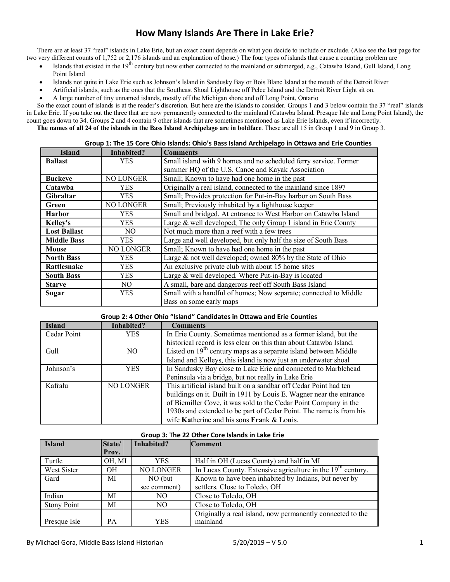# **How Many Islands Are There in Lake Erie?**

There are at least 37 "real" islands in Lake Erie, but an exact count depends on what you decide to include or exclude. (Also see the last page for two very different counts of 1,752 or 2,176 islands and an explanation of those.) The four types of islands that cause a counting problem are

- Islands that existed in the  $19^{th}$  century but now either connected to the mainland or submerged, e.g., Catawba Island, Gull Island, Long Point Island
- Islands not quite in Lake Erie such as Johnson's Island in Sandusky Bay or Bois Blanc Island at the mouth of the Detroit River
- Artificial islands, such as the ones that the Southeast Shoal Lighthouse off Pelee Island and the Detroit River Light sit on.
- A large number of tiny unnamed islands, mostly off the Michigan shore and off Long Point, Ontario

So the exact count of islands is at the reader's discretion. But here are the islands to consider. Groups 1 and 3 below contain the 37 "real" islands in Lake Erie. If you take out the three that are now permanently connected to the mainland (Catawba Island, Presque Isle and Long Point Island), the count goes down to 34. Groups 2 and 4 contain 9 other islands that are sometimes mentioned as Lake Erie Islands, even if incorrectly. **The names of all 24 of the islands in the Bass Island Archipelago are in boldface**. These are all 15 in Group 1 and 9 in Group 3.

|                     |                  | Group 1. The 15 Core Only islands. Only 5 Bass island Archipelago in Ottawa and Eric Counties |  |
|---------------------|------------------|-----------------------------------------------------------------------------------------------|--|
| <b>Island</b>       | Inhabited?       | <b>Comments</b>                                                                               |  |
| <b>Ballast</b>      | <b>YES</b>       | Small island with 9 homes and no scheduled ferry service. Former                              |  |
|                     |                  | summer HQ of the U.S. Canoe and Kayak Association                                             |  |
| <b>Buckeve</b>      | NO LONGER        | Small; Known to have had one home in the past                                                 |  |
| Catawba             | <b>YES</b>       | Originally a real island, connected to the mainland since 1897                                |  |
| <b>Gibraltar</b>    | <b>YES</b>       | Small; Provides protection for Put-in-Bay harbor on South Bass                                |  |
| Green               | NO LONGER        | Small; Previously inhabited by a lighthouse keeper                                            |  |
| <b>Harbor</b>       | <b>YES</b>       | Small and bridged. At entrance to West Harbor on Catawba Island                               |  |
| <b>Kelley's</b>     | YES.             | Large & well developed; The only Group 1 island in Erie County                                |  |
| <b>Lost Ballast</b> | NO.              | Not much more than a reef with a few trees                                                    |  |
| <b>Middle Bass</b>  | YES              | Large and well developed, but only half the size of South Bass                                |  |
| Mouse               | <b>NO LONGER</b> | Small; Known to have had one home in the past                                                 |  |
| <b>North Bass</b>   | YES              | Large $\&$ not well developed; owned 80% by the State of Ohio                                 |  |
| Rattlesnake         | <b>YES</b>       | An exclusive private club with about 15 home sites                                            |  |
| <b>South Bass</b>   | <b>YES</b>       | Large & well developed. Where Put-in-Bay is located                                           |  |
| <b>Starve</b>       | NO.              | A small, bare and dangerous reef off South Bass Island                                        |  |
| Sugar               | <b>YES</b>       | Small with a handful of homes; Now separate; connected to Middle                              |  |
|                     |                  | Bass on some early maps                                                                       |  |

#### **Group 1: The 15 Core Ohio Islands: Ohio's Bass Island Archipelago in Ottawa and Erie Counties**

|  | Group 2: 4 Other Ohio "Island" Candidates in Ottawa and Erie Counties |
|--|-----------------------------------------------------------------------|
|--|-----------------------------------------------------------------------|

| <b>Island</b> | Inhabited?     | <b>Comments</b>                                                     |
|---------------|----------------|---------------------------------------------------------------------|
| Cedar Point   | <b>YES</b>     | In Erie County. Sometimes mentioned as a former island, but the     |
|               |                | historical record is less clear on this than about Catawba Island.  |
| Gull          | N <sub>O</sub> | Listed on $19th$ century maps as a separate island between Middle   |
|               |                | Island and Kelleys, this island is now just an underwater shoal     |
| Johnson's     | YES            | In Sandusky Bay close to Lake Erie and connected to Marblehead      |
|               |                | Peninsula via a bridge, but not really in Lake Erie                 |
| Kafralu       | NO LONGER      | This artificial island built on a sandbar off Cedar Point had ten   |
|               |                | buildings on it. Built in 1911 by Louis E. Wagner near the entrance |
|               |                | of Biemiller Cove, it was sold to the Cedar Point Company in the    |
|               |                | 1930s and extended to be part of Cedar Point. The name is from his  |
|               |                | wife Katherine and his sons Frank & Louis.                          |

#### **Group 3: The 22 Other Core Islands in Lake Erie**

| <b>Island</b>      | State/ | Inhabited?   | <b>Comment</b>                                                          |
|--------------------|--------|--------------|-------------------------------------------------------------------------|
|                    | Prov.  |              |                                                                         |
| Turtle             | OH, MI | YES          | Half in OH (Lucas County) and half in MI                                |
| West Sister        | OН     | NO LONGER    | In Lucas County. Extensive agriculture in the 19 <sup>th</sup> century. |
| Gard               | МI     | NO (but      | Known to have been inhabited by Indians, but never by                   |
|                    |        | see comment) | settlers. Close to Toledo, OH                                           |
| Indian             | МI     | NO.          | Close to Toledo, OH                                                     |
| <b>Stony Point</b> | МI     | NO.          | Close to Toledo, OH                                                     |
|                    |        |              | Originally a real island, now permanently connected to the              |
| Presque Isle       | PА     | YES          | mainland                                                                |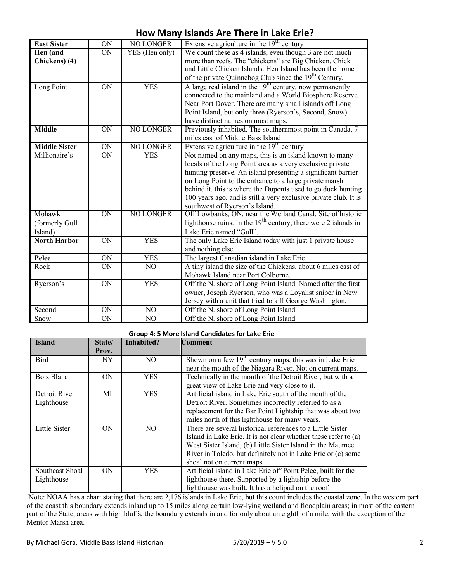### **How Many Islands Are There in Lake Erie?**

| <b>East Sister</b>   | ON              | <b>NO LONGER</b> | Extensive agriculture in the $19th$ century                                                                                      |
|----------------------|-----------------|------------------|----------------------------------------------------------------------------------------------------------------------------------|
| Hen (and             | <b>ON</b>       | YES (Hen only)   | We count these as 4 islands, even though 3 are not much                                                                          |
| Chickens) (4)        |                 |                  | more than reefs. The "chickens" are Big Chicken, Chick<br>and Little Chicken Islands. Hen Island has been the home               |
|                      |                 |                  | of the private Quinnebog Club since the 19 <sup>th</sup> Century.                                                                |
| Long Point           | $\overline{ON}$ | <b>YES</b>       | A large real island in the $19th$ century, now permanently                                                                       |
|                      |                 |                  | connected to the mainland and a World Biosphere Reserve.                                                                         |
|                      |                 |                  | Near Port Dover. There are many small islands off Long                                                                           |
|                      |                 |                  | Point Island, but only three (Ryerson's, Second, Snow)                                                                           |
|                      |                 |                  | have distinct names on most maps.                                                                                                |
| <b>Middle</b>        | $\overline{ON}$ | <b>NO LONGER</b> | Previously inhabited. The southernmost point in Canada, 7                                                                        |
|                      |                 |                  | miles east of Middle Bass Island                                                                                                 |
| <b>Middle Sister</b> | ON              | NO LONGER        | Extensive agriculture in the $19th$ century                                                                                      |
| Millionaire's        | <b>ON</b>       | <b>YES</b>       | Not named on any maps, this is an island known to many                                                                           |
|                      |                 |                  | locals of the Long Point area as a very exclusive private                                                                        |
|                      |                 |                  | hunting preserve. An island presenting a significant barrier                                                                     |
|                      |                 |                  | on Long Point to the entrance to a large private marsh                                                                           |
|                      |                 |                  | behind it, this is where the Duponts used to go duck hunting<br>100 years ago, and is still a very exclusive private club. It is |
|                      |                 |                  | southwest of Ryerson's Island.                                                                                                   |
| Mohawk               | ON              | <b>NO LONGER</b> | Off Lowbanks, ON, near the Welland Canal. Site of historic                                                                       |
| (formerly Gull       |                 |                  | lighthouse ruins. In the $19th$ century, there were 2 islands in                                                                 |
| Island)              |                 |                  | Lake Erie named "Gull".                                                                                                          |
| North Harbor         | ON              | <b>YES</b>       | The only Lake Erie Island today with just 1 private house                                                                        |
|                      |                 |                  | and nothing else.                                                                                                                |
| Pelee                | ON              | <b>YES</b>       | The largest Canadian island in Lake Erie.                                                                                        |
| Rock                 | ON              | NO               | A tiny island the size of the Chickens, about 6 miles east of                                                                    |
|                      |                 |                  | Mohawk Island near Port Colborne.                                                                                                |
| Ryerson's            | $\overline{ON}$ | <b>YES</b>       | Off the N. shore of Long Point Island. Named after the first                                                                     |
|                      |                 |                  | owner, Joseph Ryerson, who was a Loyalist sniper in New                                                                          |
|                      |                 |                  | Jersey with a unit that tried to kill George Washington.                                                                         |
| Second               | <b>ON</b>       | NO               | Off the N. shore of Long Point Island                                                                                            |
| Snow                 | ON              | NO               | Off the N. shore of Long Point Island                                                                                            |

| Group 4: 5 More Island Candidates for Lake Erie |           |                |                                                                 |
|-------------------------------------------------|-----------|----------------|-----------------------------------------------------------------|
| <b>Island</b>                                   | State/    | Inhabited?     | Comment                                                         |
|                                                 | Prov.     |                |                                                                 |
| <b>Bird</b>                                     | NY.       | N <sub>O</sub> | Shown on a few $19th$ century maps, this was in Lake Erie       |
|                                                 |           |                | near the mouth of the Niagara River. Not on current maps.       |
| Bois Blanc                                      | ON        | <b>YES</b>     | Technically in the mouth of the Detroit River, but with a       |
|                                                 |           |                | great view of Lake Erie and very close to it.                   |
| Detroit River                                   | MI        | <b>YES</b>     | Artificial island in Lake Erie south of the mouth of the        |
| Lighthouse                                      |           |                | Detroit River. Sometimes incorrectly referred to as a           |
|                                                 |           |                | replacement for the Bar Point Lightship that was about two      |
|                                                 |           |                | miles north of this lighthouse for many years.                  |
| Little Sister                                   | <b>ON</b> | N <sub>O</sub> | There are several historical references to a Little Sister      |
|                                                 |           |                | Island in Lake Erie. It is not clear whether these refer to (a) |
|                                                 |           |                | West Sister Island, (b) Little Sister Island in the Maumee      |
|                                                 |           |                | River in Toledo, but definitely not in Lake Erie or (c) some    |
|                                                 |           |                | shoal not on current maps.                                      |
| Southeast Shoal                                 | ON        | <b>YES</b>     | Artificial island in Lake Erie off Point Pelee, built for the   |
| Lighthouse                                      |           |                | lighthouse there. Supported by a lightship before the           |
|                                                 |           |                | lighthouse was built. It has a helipad on the roof.             |

Note: NOAA has a chart stating that there are 2,176 islands in Lake Erie, but this count includes the coastal zone. In the western part of the coast this boundary extends inland up to 15 miles along certain low-lying wetland and floodplain areas; in most of the eastern part of the State, areas with high bluffs, the boundary extends inland for only about an eighth of a mile, with the exception of the Mentor Marsh area.